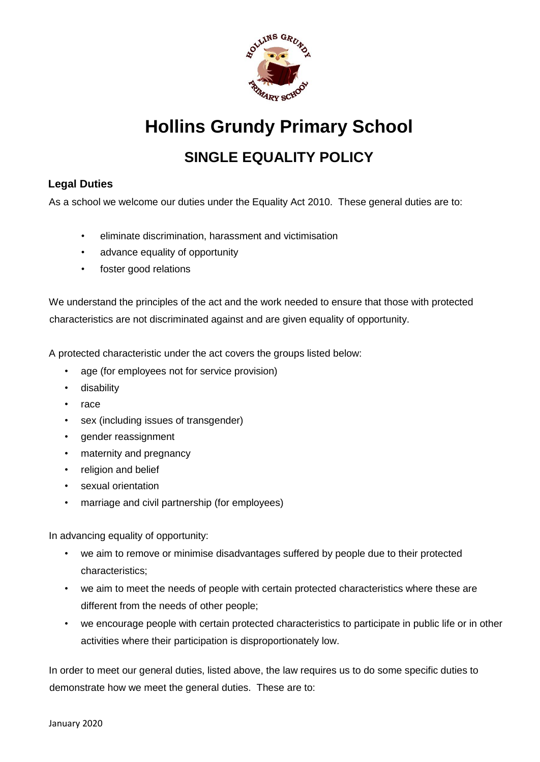

**Hollins Grundy Primary School** 

# **SINGLE EQUALITY POLICY**

# **Legal Duties**

As a school we welcome our duties under the Equality Act 2010. These general duties are to:

- eliminate discrimination, harassment and victimisation
- advance equality of opportunity
- foster good relations

We understand the principles of the act and the work needed to ensure that those with protected characteristics are not discriminated against and are given equality of opportunity.

A protected characteristic under the act covers the groups listed below:

- age (for employees not for service provision)
- disability
- race
- sex (including issues of transgender)
- gender reassignment
- maternity and pregnancy
- religion and belief
- sexual orientation
- marriage and civil partnership (for employees)

In advancing equality of opportunity:

- we aim to remove or minimise disadvantages suffered by people due to their protected characteristics;
- we aim to meet the needs of people with certain protected characteristics where these are different from the needs of other people;
- we encourage people with certain protected characteristics to participate in public life or in other activities where their participation is disproportionately low.

In order to meet our general duties, listed above, the law requires us to do some specific duties to demonstrate how we meet the general duties. These are to: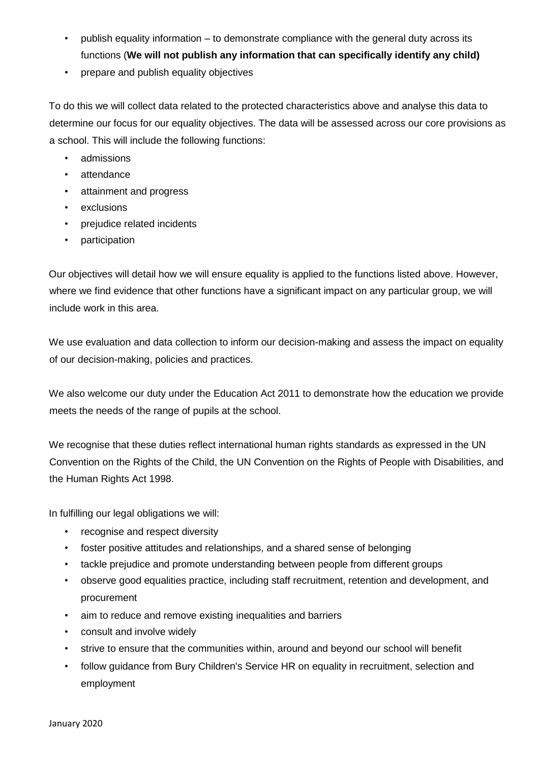- publish equality information to demonstrate compliance with the general duty across its functions (**We will not publish any information that can specifically identify any child)**
- prepare and publish equality objectives

To do this we will collect data related to the protected characteristics above and analyse this data to determine our focus for our equality objectives. The data will be assessed across our core provisions as a school. This will include the following functions:

- admissions
- attendance
- attainment and progress
- exclusions
- prejudice related incidents
- participation

Our objectives will detail how we will ensure equality is applied to the functions listed above. However, where we find evidence that other functions have a significant impact on any particular group, we will include work in this area.

We use evaluation and data collection to inform our decision-making and assess the impact on equality of our decision-making, policies and practices.

We also welcome our duty under the Education Act 2011 to demonstrate how the education we provide meets the needs of the range of pupils at the school.

We recognise that these duties reflect international human rights standards as expressed in the UN Convention on the Rights of the Child, the UN Convention on the Rights of People with Disabilities, and the Human Rights Act 1998.

In fulfilling our legal obligations we will:

- recognise and respect diversity
- foster positive attitudes and relationships, and a shared sense of belonging
- tackle prejudice and promote understanding between people from different groups
- observe good equalities practice, including staff recruitment, retention and development, and procurement
- aim to reduce and remove existing inequalities and barriers
- consult and involve widely
- strive to ensure that the communities within, around and beyond our school will benefit
- follow guidance from Bury Children's Service HR on equality in recruitment, selection and employment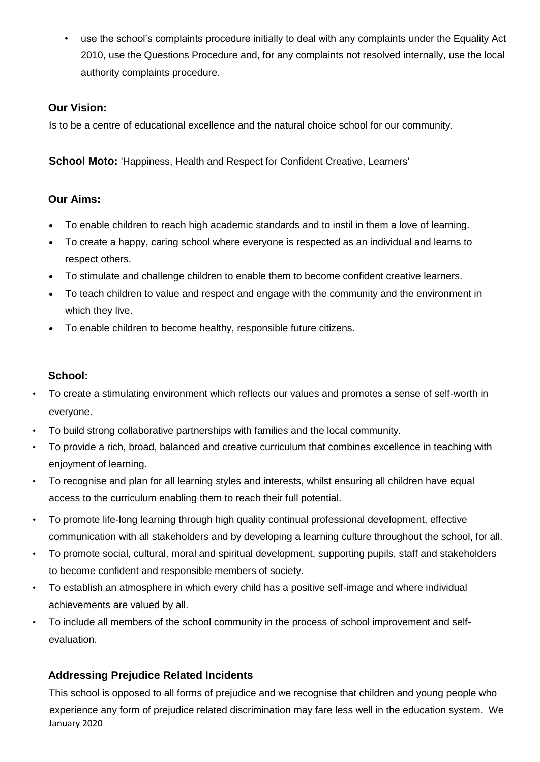• use the school's complaints procedure initially to deal with any complaints under the Equality Act 2010, use the Questions Procedure and, for any complaints not resolved internally, use the local authority complaints procedure.

### **Our Vision:**

Is to be a centre of educational excellence and the natural choice school for our community.

**School Moto:** 'Happiness, Health and Respect for Confident Creative, Learners'

#### **Our Aims:**

- To enable children to reach high academic standards and to instil in them a love of learning.
- To create a happy, caring school where everyone is respected as an individual and learns to respect others.
- To stimulate and challenge children to enable them to become confident creative learners.
- To teach children to value and respect and engage with the community and the environment in which they live.
- To enable children to become healthy, responsible future citizens.

#### **School:**

- To create a stimulating environment which reflects our values and promotes a sense of self-worth in everyone.
- To build strong collaborative partnerships with families and the local community.
- To provide a rich, broad, balanced and creative curriculum that combines excellence in teaching with enjoyment of learning.
- To recognise and plan for all learning styles and interests, whilst ensuring all children have equal access to the curriculum enabling them to reach their full potential.
- To promote life-long learning through high quality continual professional development, effective communication with all stakeholders and by developing a learning culture throughout the school, for all.
- To promote social, cultural, moral and spiritual development, supporting pupils, staff and stakeholders to become confident and responsible members of society.
- To establish an atmosphere in which every child has a positive self-image and where individual achievements are valued by all.
- To include all members of the school community in the process of school improvement and selfevaluation.

## **Addressing Prejudice Related Incidents**

January 2020 This school is opposed to all forms of prejudice and we recognise that children and young people who experience any form of prejudice related discrimination may fare less well in the education system. We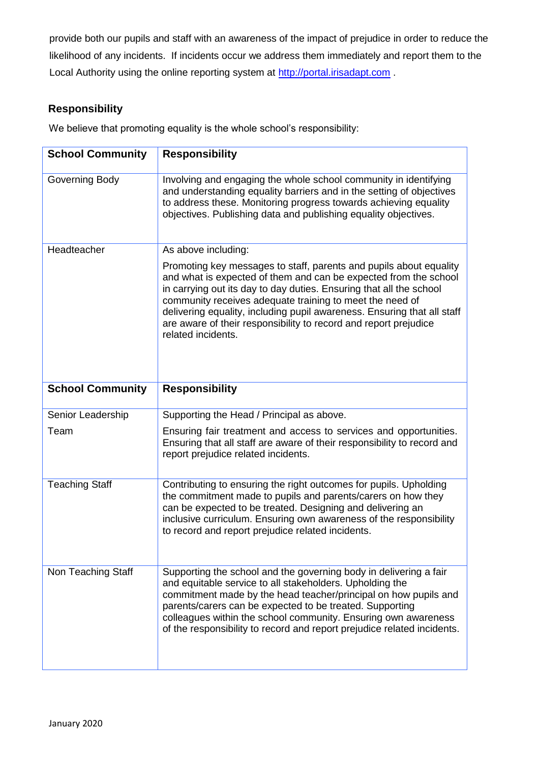provide both our pupils and staff with an awareness of the impact of prejudice in order to reduce the likelihood of any incidents. If incidents occur we address them immediately and report them to the Local Authority using the online reporting system at [http://portal.irisadapt.com](http://portal.irisadapt.com/) .

# **Responsibility**

We believe that promoting equality is the whole school's responsibility:

| <b>School Community</b> | <b>Responsibility</b>                                                                                                                                                                                                                                                                                                                                                                                                                          |
|-------------------------|------------------------------------------------------------------------------------------------------------------------------------------------------------------------------------------------------------------------------------------------------------------------------------------------------------------------------------------------------------------------------------------------------------------------------------------------|
| Governing Body          | Involving and engaging the whole school community in identifying<br>and understanding equality barriers and in the setting of objectives<br>to address these. Monitoring progress towards achieving equality<br>objectives. Publishing data and publishing equality objectives.                                                                                                                                                                |
| Headteacher             | As above including:                                                                                                                                                                                                                                                                                                                                                                                                                            |
|                         | Promoting key messages to staff, parents and pupils about equality<br>and what is expected of them and can be expected from the school<br>in carrying out its day to day duties. Ensuring that all the school<br>community receives adequate training to meet the need of<br>delivering equality, including pupil awareness. Ensuring that all staff<br>are aware of their responsibility to record and report prejudice<br>related incidents. |
| <b>School Community</b> | <b>Responsibility</b>                                                                                                                                                                                                                                                                                                                                                                                                                          |
| Senior Leadership       | Supporting the Head / Principal as above.                                                                                                                                                                                                                                                                                                                                                                                                      |
| Team                    | Ensuring fair treatment and access to services and opportunities.<br>Ensuring that all staff are aware of their responsibility to record and<br>report prejudice related incidents.                                                                                                                                                                                                                                                            |
| <b>Teaching Staff</b>   | Contributing to ensuring the right outcomes for pupils. Upholding<br>the commitment made to pupils and parents/carers on how they<br>can be expected to be treated. Designing and delivering an<br>inclusive curriculum. Ensuring own awareness of the responsibility<br>to record and report prejudice related incidents.                                                                                                                     |
| Non Teaching Staff      | Supporting the school and the governing body in delivering a fair<br>and equitable service to all stakeholders. Upholding the<br>commitment made by the head teacher/principal on how pupils and<br>parents/carers can be expected to be treated. Supporting<br>colleagues within the school community. Ensuring own awareness<br>of the responsibility to record and report prejudice related incidents.                                      |